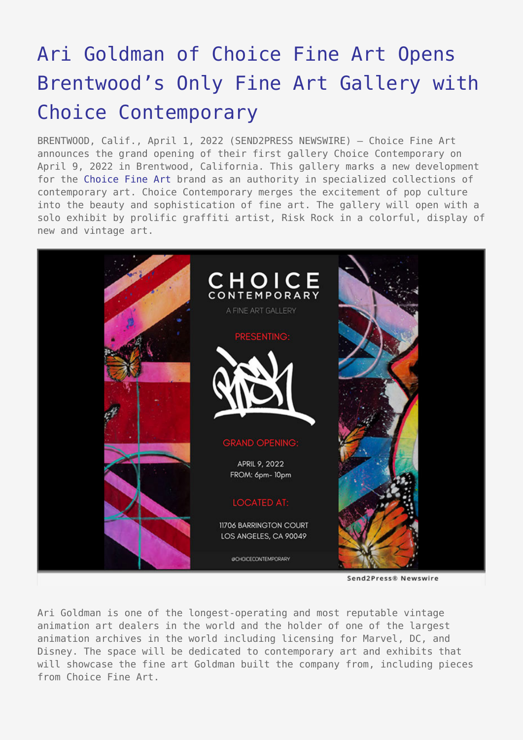# [Ari Goldman of Choice Fine Art Opens](https://www.send2press.com/wire/ari-goldman-of-choice-fine-art-opens-brentwoods-only-fine-art-gallery-with-choice-contemporary/) [Brentwood's Only Fine Art Gallery with](https://www.send2press.com/wire/ari-goldman-of-choice-fine-art-opens-brentwoods-only-fine-art-gallery-with-choice-contemporary/) [Choice Contemporary](https://www.send2press.com/wire/ari-goldman-of-choice-fine-art-opens-brentwoods-only-fine-art-gallery-with-choice-contemporary/)

BRENTWOOD, Calif., April 1, 2022 (SEND2PRESS NEWSWIRE) — Choice Fine Art announces the grand opening of their first gallery Choice Contemporary on April 9, 2022 in Brentwood, California. This gallery marks a new development for the [Choice Fine Art](https://choicefineart.com/) brand as an authority in specialized collections of contemporary art. Choice Contemporary merges the excitement of pop culture into the beauty and sophistication of fine art. The gallery will open with a solo exhibit by prolific graffiti artist, Risk Rock in a colorful, display of new and vintage art.



Send2Press® Newswire

Ari Goldman is one of the longest-operating and most reputable vintage animation art dealers in the world and the holder of one of the largest animation archives in the world including licensing for Marvel, DC, and Disney. The space will be dedicated to contemporary art and exhibits that will showcase the fine art Goldman built the company from, including pieces from Choice Fine Art.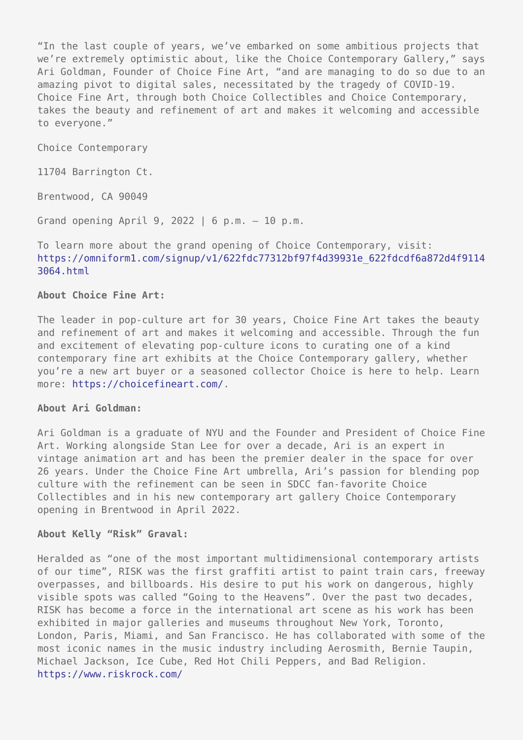"In the last couple of years, we've embarked on some ambitious projects that we're extremely optimistic about, like the Choice Contemporary Gallery," says Ari Goldman, Founder of Choice Fine Art, "and are managing to do so due to an amazing pivot to digital sales, necessitated by the tragedy of COVID-19. Choice Fine Art, through both Choice Collectibles and Choice Contemporary, takes the beauty and refinement of art and makes it welcoming and accessible to everyone."

Choice Contemporary

11704 Barrington Ct.

Brentwood, CA 90049

Grand opening April 9, 2022 | 6 p.m. – 10 p.m.

To learn more about the grand opening of Choice Contemporary, visit: [https://omniform1.com/signup/v1/622fdc77312bf97f4d39931e\\_622fdcdf6a872d4f9114](https://omniform1.com/signup/v1/622fdc77312bf97f4d39931e_622fdcdf6a872d4f91143064.html) [3064.html](https://omniform1.com/signup/v1/622fdc77312bf97f4d39931e_622fdcdf6a872d4f91143064.html)

#### **About Choice Fine Art:**

The leader in pop-culture art for 30 years, Choice Fine Art takes the beauty and refinement of art and makes it welcoming and accessible. Through the fun and excitement of elevating pop-culture icons to curating one of a kind contemporary fine art exhibits at the Choice Contemporary gallery, whether you're a new art buyer or a seasoned collector Choice is here to help. Learn more:<https://choicefineart.com/>.

#### **About Ari Goldman:**

Ari Goldman is a graduate of NYU and the Founder and President of Choice Fine Art. Working alongside Stan Lee for over a decade, Ari is an expert in vintage animation art and has been the premier dealer in the space for over 26 years. Under the Choice Fine Art umbrella, Ari's passion for blending pop culture with the refinement can be seen in SDCC fan-favorite Choice Collectibles and in his new contemporary art gallery Choice Contemporary opening in Brentwood in April 2022.

#### **About Kelly "Risk" Graval:**

Heralded as "one of the most important multidimensional contemporary artists of our time", RISK was the first graffiti artist to paint train cars, freeway overpasses, and billboards. His desire to put his work on dangerous, highly visible spots was called "Going to the Heavens". Over the past two decades, RISK has become a force in the international art scene as his work has been exhibited in major galleries and museums throughout New York, Toronto, London, Paris, Miami, and San Francisco. He has collaborated with some of the most iconic names in the music industry including Aerosmith, Bernie Taupin, Michael Jackson, Ice Cube, Red Hot Chili Peppers, and Bad Religion. <https://www.riskrock.com/>